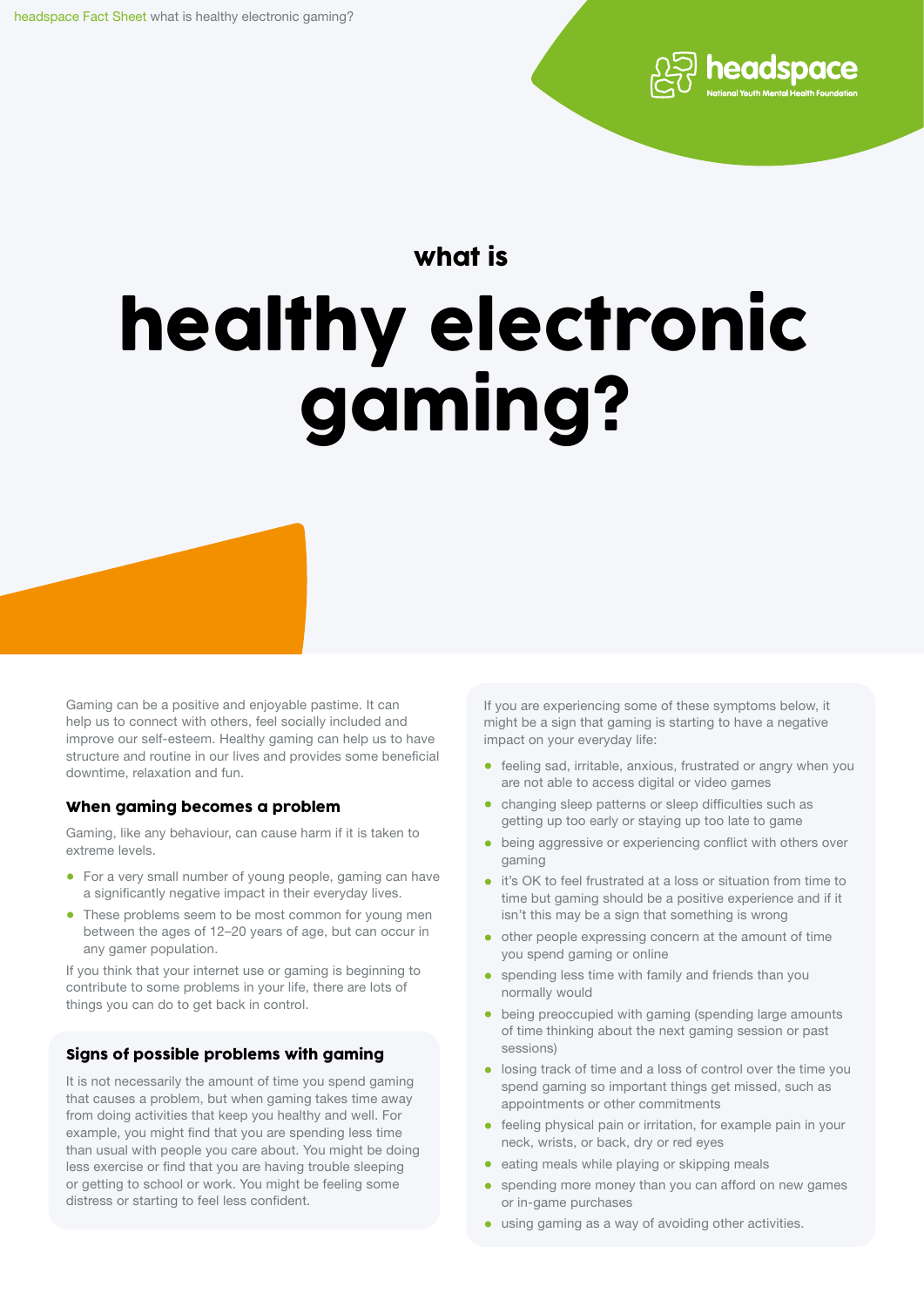

## what is

# healthy electronic gaming?

Gaming can be a positive and enjoyable pastime. It can help us to connect with others, feel socially included and improve our self-esteem. Healthy gaming can help us to have structure and routine in our lives and provides some beneficial downtime, relaxation and fun.

#### When gaming becomes a problem

Gaming, like any behaviour, can cause harm if it is taken to extreme levels.

- For a very small number of young people, gaming can have a significantly negative impact in their everyday lives.
- These problems seem to be most common for young men between the ages of 12–20 years of age, but can occur in any gamer population.

If you think that your internet use or gaming is beginning to contribute to some problems in your life, there are lots of things you can do to get back in control.

#### Signs of possible problems with gaming

It is not necessarily the amount of time you spend gaming that causes a problem, but when gaming takes time away from doing activities that keep you healthy and well. For example, you might find that you are spending less time than usual with people you care about. You might be doing less exercise or find that you are having trouble sleeping or getting to school or work. You might be feeling some distress or starting to feel less confident.

If you are experiencing some of these symptoms below, it might be a sign that gaming is starting to have a negative impact on your everyday life:

- feeling sad, irritable, anxious, frustrated or angry when you are not able to access digital or video games
- changing sleep patterns or sleep difficulties such as getting up too early or staying up too late to game
- being aggressive or experiencing conflict with others over gaming
- it's OK to feel frustrated at a loss or situation from time to time but gaming should be a positive experience and if it isn't this may be a sign that something is wrong
- other people expressing concern at the amount of time you spend gaming or online
- spending less time with family and friends than you normally would
- being preoccupied with gaming (spending large amounts of time thinking about the next gaming session or past sessions)
- losing track of time and a loss of control over the time you spend gaming so important things get missed, such as appointments or other commitments
- feeling physical pain or irritation, for example pain in your neck, wrists, or back, dry or red eyes
- eating meals while playing or skipping meals
- spending more money than you can afford on new games or in-game purchases
- using gaming as a way of avoiding other activities.